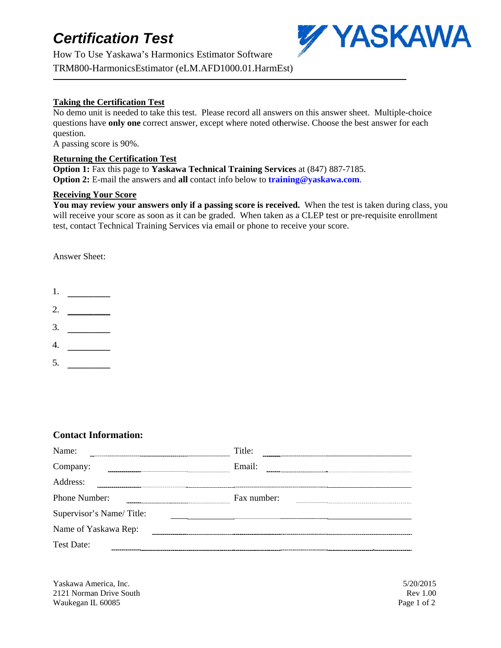# *Certification Test*



How To Use Yaskawa's Harmonics Estimator Software TRM800-H HarmonicsE Estimator (eL LM.AFD100 00.01.HarmE Est)

### **Taking the Certification Test**

No demo unit is needed to take this test. Please record all answers on this answer sheet. Multiple-choice questions have only one correct answer, except where noted otherwise. Choose the best answer for each question.

A passing s score is 90%.

### **Returning the Certification Test**

**Option 1:** Fax this page to **Yaskawa Technical Training Services** at (847) 887-7185. **Option 2:** E-mail the answers and **all** contact info below to **training@yaskawa.com**.

#### **Receiving Y Your Score**

You may review your answers only if a passing score is received. When the test is taken during class, you will receive your score as soon as it can be graded. When taken as a CLEP test or pre-requisite enrollment test, contact Technical Training Services via email or phone to receive your score.

Answer Sheet:

- 1.
- 2.
- 3.
- 
- 4.
- 5.

## **Contact Information:**

| Name:                    | Title:      |
|--------------------------|-------------|
| Company:                 | Email:      |
| Address:                 |             |
| Phone Number:            | Fax number: |
| Supervisor's Name/Title: |             |
| Name of Yaskawa Rep:     |             |
| Test Date:               |             |

Yaskawa America, Inc. 2121 Norma an Drive South Waukegan IL L 60085

 5/20/2 2015 Rev 1.00 Page 1 of 2